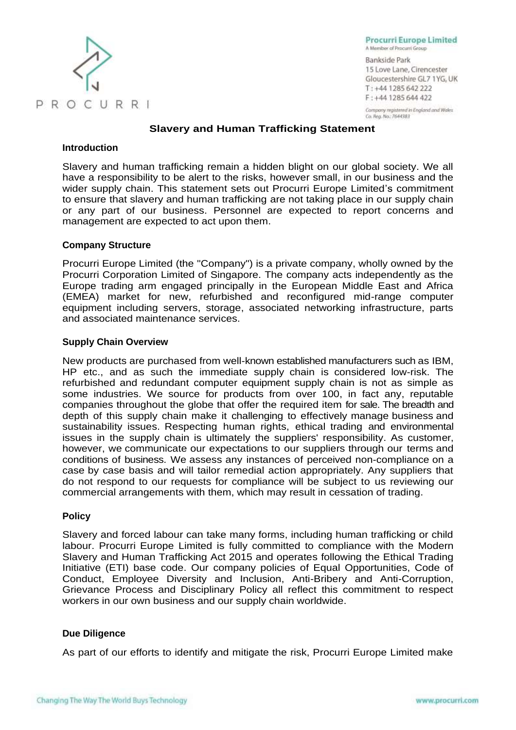

**Procurri Europe Limited** 

A Member of Procurri Group Bankside Park 15 Love Lane, Cirencester Gloucestershire GL7 1YG, UK T: +44 1285 642 222 F: +44 1285 644 422

Company registered in England and Wales Co. Reg. No.: 7644383

## **Slavery and Human Trafficking Statement**

## **Introduction**

Slavery and human trafficking remain a hidden blight on our global society. We all have a responsibility to be alert to the risks, however small, in our business and the wider supply chain. This statement sets out Procurri Europe Limited's commitment to ensure that slavery and human trafficking are not taking place in our supply chain or any part of our business. Personnel are expected to report concerns and management are expected to act upon them.

## **Company Structure**

Procurri Europe Limited (the "Company") is a private company, wholly owned by the Procurri Corporation Limited of Singapore. The company acts independently as the Europe trading arm engaged principally in the European Middle East and Africa (EMEA) market for new, refurbished and reconfigured mid-range computer equipment including servers, storage, associated networking infrastructure, parts and associated maintenance services.

## **Supply Chain Overview**

New products are purchased from well-known established manufacturers such as IBM, HP etc., and as such the immediate supply chain is considered low-risk. The refurbished and redundant computer equipment supply chain is not as simple as some industries. We source for products from over 100, in fact any, reputable companies throughout the globe that offer the required item for sale. The breadth and depth of this supply chain make it challenging to effectively manage business and sustainability issues. Respecting human rights, ethical trading and environmental issues in the supply chain is ultimately the suppliers' responsibility. As customer, however, we communicate our expectations to our suppliers through our terms and conditions of business. We assess any instances of perceived non-compliance on a case by case basis and will tailor remedial action appropriately. Any suppliers that do not respond to our requests for compliance will be subject to us reviewing our commercial arrangements with them, which may result in cessation of trading.

#### **Policy**

Slavery and forced labour can take many forms, including human trafficking or child labour. Procurri Europe Limited is fully committed to compliance with the Modern Slavery and Human Trafficking Act 2015 and operates following the Ethical Trading Initiative (ETI) base code. Our company policies of Equal Opportunities, Code of Conduct, Employee Diversity and Inclusion, Anti-Bribery and Anti-Corruption, Grievance Process and Disciplinary Policy all reflect this commitment to respect workers in our own business and our supply chain worldwide.

# **Due Diligence**

As part of our efforts to identify and mitigate the risk, Procurri Europe Limited make